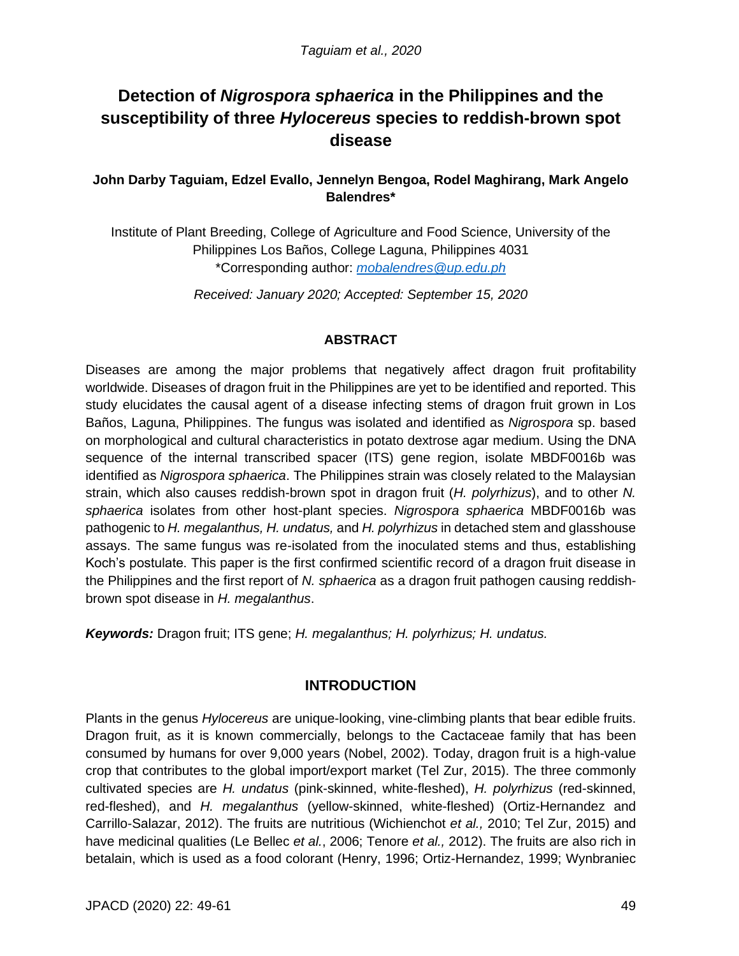# **Detection of** *Nigrospora sphaerica* **in the Philippines and the susceptibility of three** *Hylocereus* **species to reddish-brown spot disease**

# **John Darby Taguiam, Edzel Evallo, Jennelyn Bengoa, Rodel Maghirang, Mark Angelo Balendres\***

Institute of Plant Breeding, College of Agriculture and Food Science, University of the Philippines Los Baños, College Laguna, Philippines 4031 \*Corresponding author: *mobalendres@up.edu.ph*

*Received: January 2020; Accepted: September 15, 2020*

## **ABSTRACT**

Diseases are among the major problems that negatively affect dragon fruit profitability worldwide. Diseases of dragon fruit in the Philippines are yet to be identified and reported. This study elucidates the causal agent of a disease infecting stems of dragon fruit grown in Los Baños, Laguna, Philippines. The fungus was isolated and identified as *Nigrospora* sp. based on morphological and cultural characteristics in potato dextrose agar medium. Using the DNA sequence of the internal transcribed spacer (ITS) gene region, isolate MBDF0016b was identified as *Nigrospora sphaerica*. The Philippines strain was closely related to the Malaysian strain, which also causes reddish-brown spot in dragon fruit (*H. polyrhizus*), and to other *N. sphaerica* isolates from other host-plant species. *Nigrospora sphaerica* MBDF0016b was pathogenic to *H. megalanthus, H. undatus,* and *H. polyrhizus* in detached stem and glasshouse assays. The same fungus was re-isolated from the inoculated stems and thus, establishing Koch's postulate. This paper is the first confirmed scientific record of a dragon fruit disease in the Philippines and the first report of *N. sphaerica* as a dragon fruit pathogen causing reddishbrown spot disease in *H. megalanthus*.

*Keywords:* Dragon fruit; ITS gene; *H. megalanthus; H. polyrhizus; H. undatus.*

# **INTRODUCTION**

Plants in the genus *Hylocereus* are unique-looking, vine-climbing plants that bear edible fruits. Dragon fruit, as it is known commercially, belongs to the Cactaceae family that has been consumed by humans for over 9,000 years (Nobel, 2002). Today, dragon fruit is a high-value crop that contributes to the global import/export market (Tel Zur, 2015). The three commonly cultivated species are *H. undatus* (pink-skinned, white-fleshed), *H. polyrhizus* (red-skinned, red-fleshed), and *H. megalanthus* (yellow-skinned, white-fleshed) (Ortiz-Hernandez and Carrillo-Salazar, 2012). The fruits are nutritious (Wichienchot *et al.,* 2010; Tel Zur, 2015) and have medicinal qualities (Le Bellec *et al.*, 2006; Tenore *et al.,* 2012). The fruits are also rich in betalain, which is used as a food colorant (Henry, 1996; Ortiz-Hernandez, 1999; Wynbraniec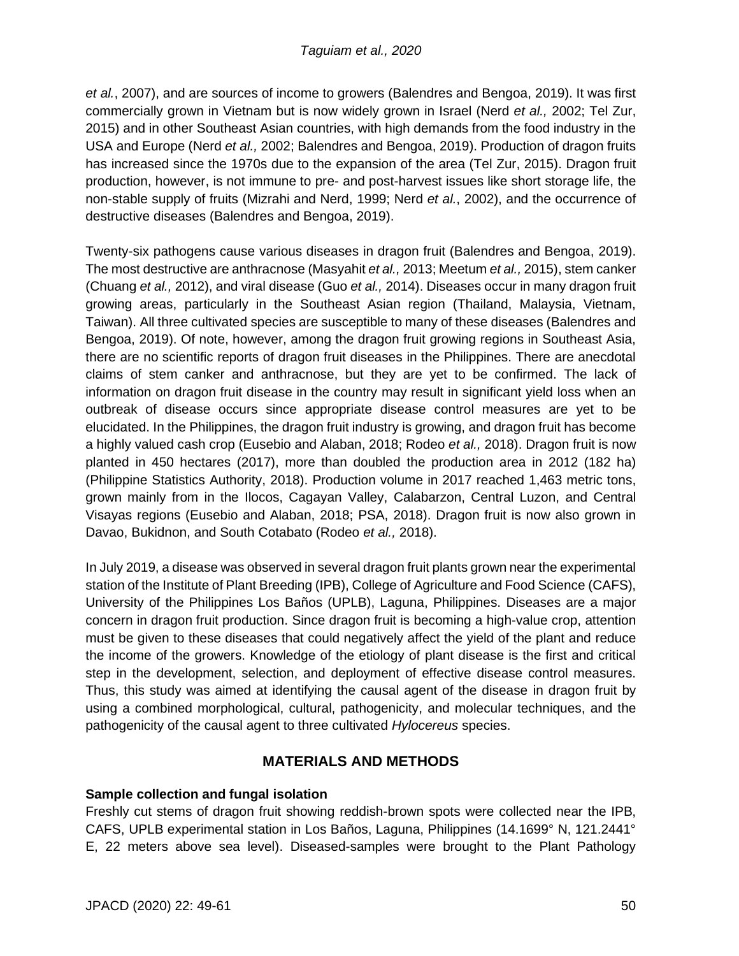*et al.*, 2007), and are sources of income to growers (Balendres and Bengoa, 2019). It was first commercially grown in Vietnam but is now widely grown in Israel (Nerd *et al.,* 2002; Tel Zur, 2015) and in other Southeast Asian countries, with high demands from the food industry in the USA and Europe (Nerd *et al.,* 2002; Balendres and Bengoa, 2019). Production of dragon fruits has increased since the 1970s due to the expansion of the area (Tel Zur, 2015). Dragon fruit production, however, is not immune to pre- and post-harvest issues like short storage life, the non-stable supply of fruits (Mizrahi and Nerd, 1999; Nerd *et al.*, 2002), and the occurrence of destructive diseases (Balendres and Bengoa, 2019).

Twenty-six pathogens cause various diseases in dragon fruit (Balendres and Bengoa, 2019). The most destructive are anthracnose (Masyahit *et al.,* 2013; Meetum *et al.,* 2015), stem canker (Chuang *et al.,* 2012), and viral disease (Guo *et al.,* 2014). Diseases occur in many dragon fruit growing areas, particularly in the Southeast Asian region (Thailand, Malaysia, Vietnam, Taiwan). All three cultivated species are susceptible to many of these diseases (Balendres and Bengoa, 2019). Of note, however, among the dragon fruit growing regions in Southeast Asia, there are no scientific reports of dragon fruit diseases in the Philippines. There are anecdotal claims of stem canker and anthracnose, but they are yet to be confirmed. The lack of information on dragon fruit disease in the country may result in significant yield loss when an outbreak of disease occurs since appropriate disease control measures are yet to be elucidated. In the Philippines, the dragon fruit industry is growing, and dragon fruit has become a highly valued cash crop (Eusebio and Alaban, 2018; Rodeo *et al.,* 2018). Dragon fruit is now planted in 450 hectares (2017), more than doubled the production area in 2012 (182 ha) (Philippine Statistics Authority, 2018). Production volume in 2017 reached 1,463 metric tons, grown mainly from in the Ilocos, Cagayan Valley, Calabarzon, Central Luzon, and Central Visayas regions (Eusebio and Alaban, 2018; PSA, 2018). Dragon fruit is now also grown in Davao, Bukidnon, and South Cotabato (Rodeo *et al.,* 2018).

In July 2019, a disease was observed in several dragon fruit plants grown near the experimental station of the Institute of Plant Breeding (IPB), College of Agriculture and Food Science (CAFS), University of the Philippines Los Baños (UPLB), Laguna, Philippines. Diseases are a major concern in dragon fruit production. Since dragon fruit is becoming a high-value crop, attention must be given to these diseases that could negatively affect the yield of the plant and reduce the income of the growers. Knowledge of the etiology of plant disease is the first and critical step in the development, selection, and deployment of effective disease control measures. Thus, this study was aimed at identifying the causal agent of the disease in dragon fruit by using a combined morphological, cultural, pathogenicity, and molecular techniques, and the pathogenicity of the causal agent to three cultivated *Hylocereus* species.

# **MATERIALS AND METHODS**

# **Sample collection and fungal isolation**

Freshly cut stems of dragon fruit showing reddish-brown spots were collected near the IPB, CAFS, UPLB experimental station in Los Baños, Laguna, Philippines (14.1699° N, 121.2441° E, 22 meters above sea level). Diseased-samples were brought to the Plant Pathology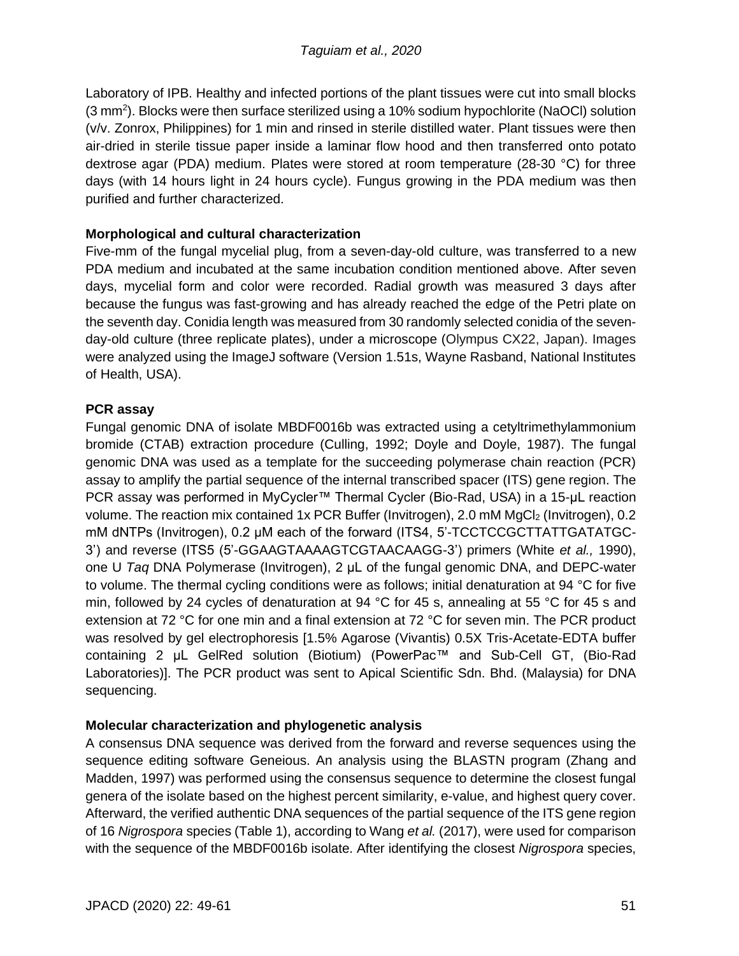Laboratory of IPB. Healthy and infected portions of the plant tissues were cut into small blocks (3 mm<sup>2</sup>). Blocks were then surface sterilized using a 10% sodium hypochlorite (NaOCl) solution (v/v. Zonrox, Philippines) for 1 min and rinsed in sterile distilled water. Plant tissues were then air-dried in sterile tissue paper inside a laminar flow hood and then transferred onto potato dextrose agar (PDA) medium. Plates were stored at room temperature (28-30 °C) for three days (with 14 hours light in 24 hours cycle). Fungus growing in the PDA medium was then purified and further characterized.

## **Morphological and cultural characterization**

Five-mm of the fungal mycelial plug, from a seven-day-old culture, was transferred to a new PDA medium and incubated at the same incubation condition mentioned above. After seven days, mycelial form and color were recorded. Radial growth was measured 3 days after because the fungus was fast-growing and has already reached the edge of the Petri plate on the seventh day. Conidia length was measured from 30 randomly selected conidia of the sevenday-old culture (three replicate plates), under a microscope (Olympus CX22, Japan). Images were analyzed using the ImageJ software (Version 1.51s, Wayne Rasband, National Institutes of Health, USA).

## **PCR assay**

Fungal genomic DNA of isolate MBDF0016b was extracted using a cetyltrimethylammonium bromide (CTAB) extraction procedure (Culling, 1992; Doyle and Doyle, 1987). The fungal genomic DNA was used as a template for the succeeding polymerase chain reaction (PCR) assay to amplify the partial sequence of the internal transcribed spacer (ITS) gene region. The PCR assay was performed in MyCycler™ Thermal Cycler (Bio-Rad, USA) in a 15-μL reaction volume. The reaction mix contained 1x PCR Buffer (Invitrogen), 2.0 mM MgCl<sub>2</sub> (Invitrogen), 0.2 mM dNTPs (Invitrogen), 0.2 μM each of the forward (ITS4, 5'-TCCTCCGCTTATTGATATGC-3') and reverse (ITS5 (5'-GGAAGTAAAAGTCGTAACAAGG-3') primers (White *et al.,* 1990), one U *Taq* DNA Polymerase (Invitrogen), 2 μL of the fungal genomic DNA, and DEPC-water to volume. The thermal cycling conditions were as follows; initial denaturation at 94 °C for five min, followed by 24 cycles of denaturation at 94 °C for 45 s, annealing at 55 °C for 45 s and extension at 72 °C for one min and a final extension at 72 °C for seven min. The PCR product was resolved by gel electrophoresis [1.5% Agarose (Vivantis) 0.5X Tris-Acetate-EDTA buffer containing 2 μL GelRed solution (Biotium) (PowerPac™ and Sub-Cell GT, (Bio-Rad Laboratories)]. The PCR product was sent to Apical Scientific Sdn. Bhd. (Malaysia) for DNA sequencing.

# **Molecular characterization and phylogenetic analysis**

A consensus DNA sequence was derived from the forward and reverse sequences using the sequence editing software Geneious. An analysis using the BLASTN program (Zhang and Madden, 1997) was performed using the consensus sequence to determine the closest fungal genera of the isolate based on the highest percent similarity, e-value, and highest query cover. Afterward, the verified authentic DNA sequences of the partial sequence of the ITS gene region of 16 *Nigrospora* species (Table 1), according to Wang *et al.* (2017), were used for comparison with the sequence of the MBDF0016b isolate. After identifying the closest *Nigrospora* species,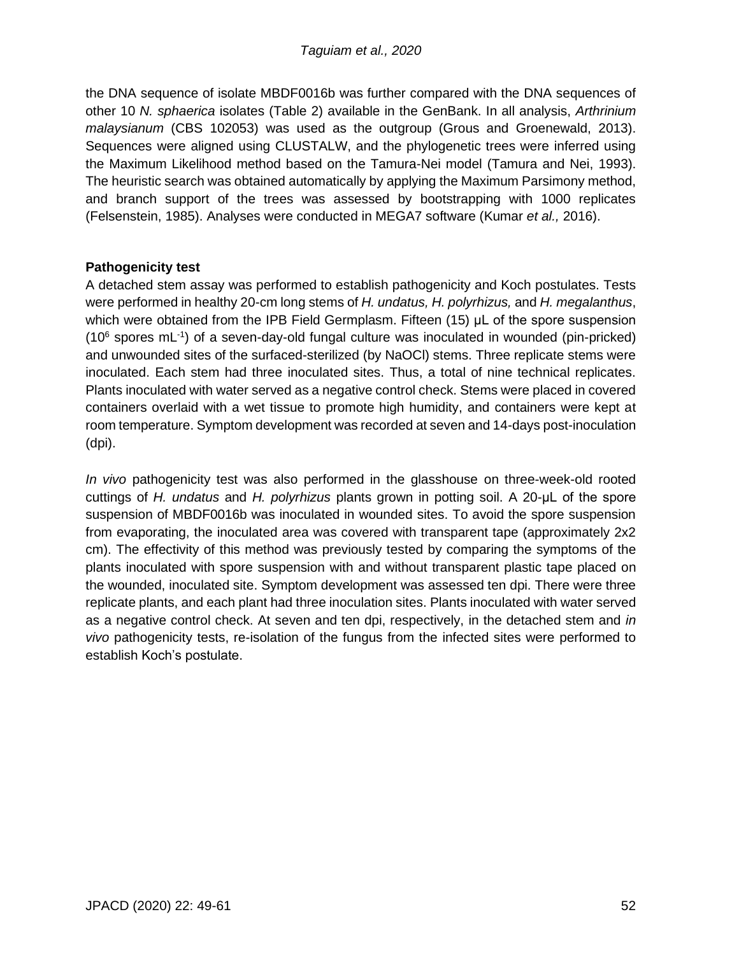the DNA sequence of isolate MBDF0016b was further compared with the DNA sequences of other 10 *N. sphaerica* isolates (Table 2) available in the GenBank. In all analysis, *Arthrinium malaysianum* (CBS 102053) was used as the outgroup (Grous and Groenewald, 2013). Sequences were aligned using CLUSTALW, and the phylogenetic trees were inferred using the Maximum Likelihood method based on the Tamura-Nei model (Tamura and Nei, 1993). The heuristic search was obtained automatically by applying the Maximum Parsimony method, and branch support of the trees was assessed by bootstrapping with 1000 replicates (Felsenstein, 1985). Analyses were conducted in MEGA7 software (Kumar *et al.,* 2016).

## **Pathogenicity test**

A detached stem assay was performed to establish pathogenicity and Koch postulates. Tests were performed in healthy 20-cm long stems of *H. undatus, H. polyrhizus,* and *H. megalanthus*, which were obtained from the IPB Field Germplasm. Fifteen (15) μL of the spore suspension  $(10^6$  spores mL $^{-1}$ ) of a seven-day-old fungal culture was inoculated in wounded (pin-pricked) and unwounded sites of the surfaced-sterilized (by NaOCl) stems. Three replicate stems were inoculated. Each stem had three inoculated sites. Thus, a total of nine technical replicates. Plants inoculated with water served as a negative control check. Stems were placed in covered containers overlaid with a wet tissue to promote high humidity, and containers were kept at room temperature. Symptom development was recorded at seven and 14-days post-inoculation (dpi).

*In vivo* pathogenicity test was also performed in the glasshouse on three-week-old rooted cuttings of *H. undatus* and *H. polyrhizus* plants grown in potting soil. A 20-μL of the spore suspension of MBDF0016b was inoculated in wounded sites. To avoid the spore suspension from evaporating, the inoculated area was covered with transparent tape (approximately 2x2 cm). The effectivity of this method was previously tested by comparing the symptoms of the plants inoculated with spore suspension with and without transparent plastic tape placed on the wounded, inoculated site. Symptom development was assessed ten dpi. There were three replicate plants, and each plant had three inoculation sites. Plants inoculated with water served as a negative control check. At seven and ten dpi, respectively, in the detached stem and *in vivo* pathogenicity tests, re-isolation of the fungus from the infected sites were performed to establish Koch's postulate.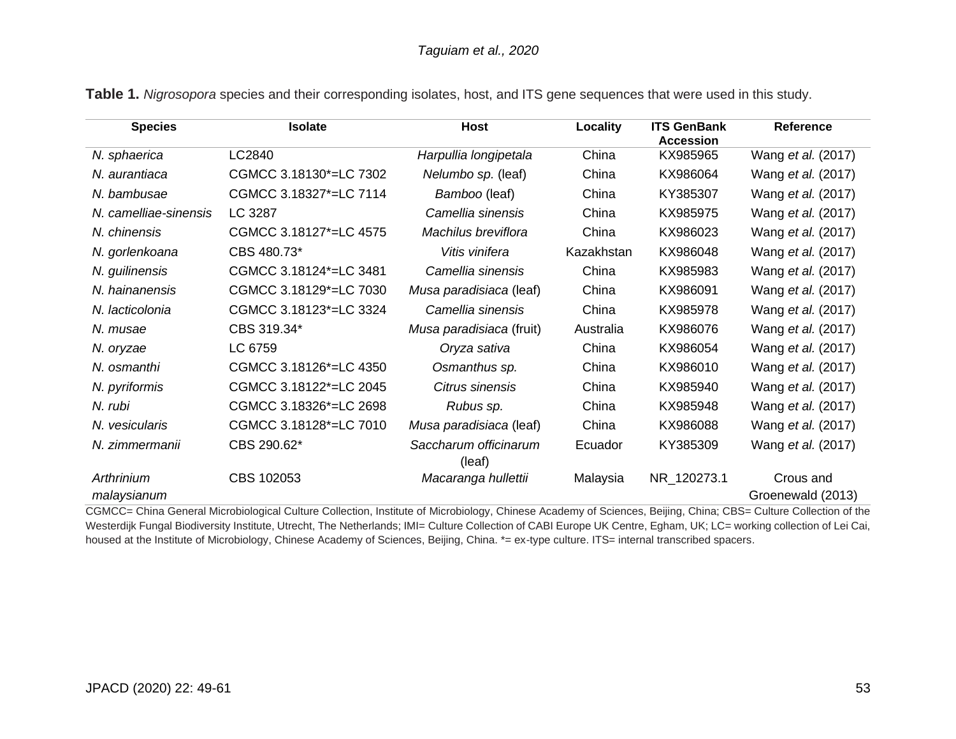| <b>Species</b>            | <b>Isolate</b>         | <b>Host</b><br>Locality         |                   | <b>ITS GenBank</b><br><b>Accession</b> | Reference                      |
|---------------------------|------------------------|---------------------------------|-------------------|----------------------------------------|--------------------------------|
| N. sphaerica              | LC2840                 | Harpullia longipetala           | China             | KX985965                               | Wang et al. (2017)             |
| N. aurantiaca             | CGMCC 3.18130*=LC 7302 | Nelumbo sp. (leaf)              | China             | KX986064                               | Wang et al. (2017)             |
| N. bambusae               | CGMCC 3.18327*=LC 7114 | Bamboo (leaf)                   | China             | KY385307                               | Wang <i>et al.</i> (2017)      |
| N. camelliae-sinensis     | LC 3287                | Camellia sinensis<br>China      |                   | KX985975                               | Wang et al. (2017)             |
| N. chinensis              | CGMCC 3.18127*=LC 4575 | Machilus breviflora             | China<br>KX986023 |                                        | Wang et al. (2017)             |
| N. gorlenkoana            | CBS 480.73*            | Vitis vinifera                  | Kazakhstan        | KX986048                               | Wang et al. (2017)             |
| N. guilinensis            | CGMCC 3.18124*=LC 3481 | Camellia sinensis               | China             | KX985983                               | Wang et al. (2017)             |
| N. hainanensis            | CGMCC 3.18129*=LC 7030 | Musa paradisiaca (leaf)         | China             | KX986091                               | Wang et al. (2017)             |
| N. lacticolonia           | CGMCC 3.18123*=LC 3324 | Camellia sinensis               | China             | KX985978                               | Wang et al. (2017)             |
| N. musae                  | CBS 319.34*            | Musa paradisiaca (fruit)        | Australia         | KX986076                               | Wang et al. (2017)             |
| N. oryzae                 | LC 6759                | Oryza sativa                    | China             | KX986054                               | Wang et al. (2017)             |
| N. osmanthi               | CGMCC 3.18126*=LC 4350 | Osmanthus sp.                   | China             | KX986010                               | Wang et al. (2017)             |
| N. pyriformis             | CGMCC 3.18122*=LC 2045 | Citrus sinensis                 | China             | KX985940                               | Wang et al. (2017)             |
| N. rubi                   | CGMCC 3.18326*=LC 2698 | Rubus sp.                       | China             | KX985948                               | Wang <i>et al.</i> (2017)      |
| N. vesicularis            | CGMCC 3.18128*=LC 7010 | Musa paradisiaca (leaf)         | China             | KX986088                               | Wang et al. (2017)             |
| N. zimmermanii            | CBS 290.62*            | Saccharum officinarum<br>(leaf) | Ecuador           | KY385309                               | Wang et al. (2017)             |
| Arthrinium<br>malaysianum | CBS 102053             | Macaranga hullettii             | Malaysia          | NR_120273.1                            | Crous and<br>Groenewald (2013) |

**Table 1.** *Nigrosopora* species and their corresponding isolates, host, and ITS gene sequences that were used in this study.

CGMCC= China General Microbiological Culture Collection, Institute of Microbiology, Chinese Academy of Sciences, Beijing, China; CBS= Culture Collection of the Westerdijk Fungal Biodiversity Institute, Utrecht, The Netherlands; IMI= Culture Collection of CABI Europe UK Centre, Egham, UK; LC= working collection of Lei Cai, housed at the Institute of Microbiology, Chinese Academy of Sciences, Beijing, China. \*= ex-type culture. ITS= internal transcribed spacers.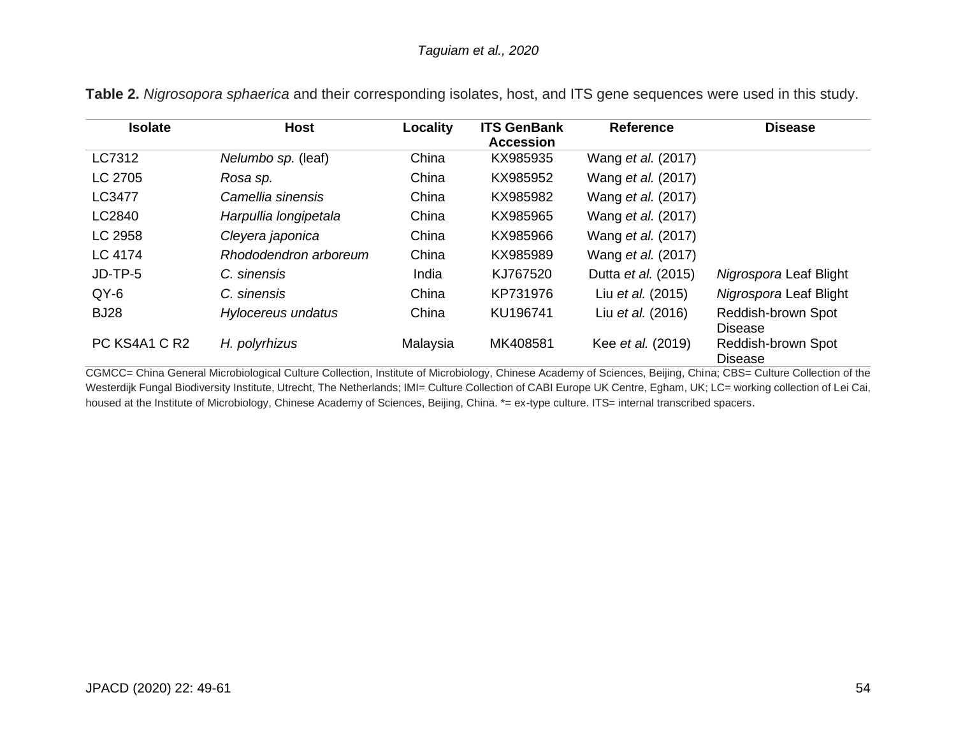| <b>Isolate</b> | <b>Host</b>           | Locality | <b>ITS GenBank</b><br><b>Accession</b> | <b>Reference</b>           | <b>Disease</b>                       |
|----------------|-----------------------|----------|----------------------------------------|----------------------------|--------------------------------------|
| LC7312         | Nelumbo sp. (leaf)    | China    | KX985935                               | Wang <i>et al.</i> (2017)  |                                      |
| LC 2705        | Rosa sp.              | China    | KX985952                               | Wang <i>et al.</i> (2017)  |                                      |
| LC3477         | Camellia sinensis     | China    | KX985982                               | Wang <i>et al.</i> (2017)  |                                      |
| LC2840         | Harpullia longipetala | China    | KX985965                               | Wang <i>et al.</i> (2017)  |                                      |
| LC 2958        | Cleyera japonica      | China    | KX985966                               | Wang <i>et al.</i> (2017)  |                                      |
| LC 4174        | Rhododendron arboreum | China    | KX985989                               | Wang <i>et al.</i> (2017)  |                                      |
| JD-TP-5        | C. sinensis           | India    | KJ767520                               | Dutta <i>et al.</i> (2015) | Nigrospora Leaf Blight               |
| $QY-6$         | C. sinensis           | China    | KP731976                               | Liu et al. (2015)          | Nigrospora Leaf Blight               |
| <b>BJ28</b>    | Hylocereus undatus    | China    | KU196741                               | Liu et al. (2016)          | Reddish-brown Spot<br><b>Disease</b> |
| PC KS4A1 C R2  | H. polyrhizus         | Malaysia | MK408581                               | Kee <i>et al.</i> (2019)   | Reddish-brown Spot<br><b>Disease</b> |

**Table 2.** *Nigrosopora sphaerica* and their corresponding isolates, host, and ITS gene sequences were used in this study.

CGMCC= China General Microbiological Culture Collection, Institute of Microbiology, Chinese Academy of Sciences, Beijing, China; CBS= Culture Collection of the Westerdijk Fungal Biodiversity Institute, Utrecht, The Netherlands; IMI= Culture Collection of CABI Europe UK Centre, Egham, UK; LC= working collection of Lei Cai, housed at the Institute of Microbiology, Chinese Academy of Sciences, Beijing, China. \*= ex-type culture. ITS= internal transcribed spacers.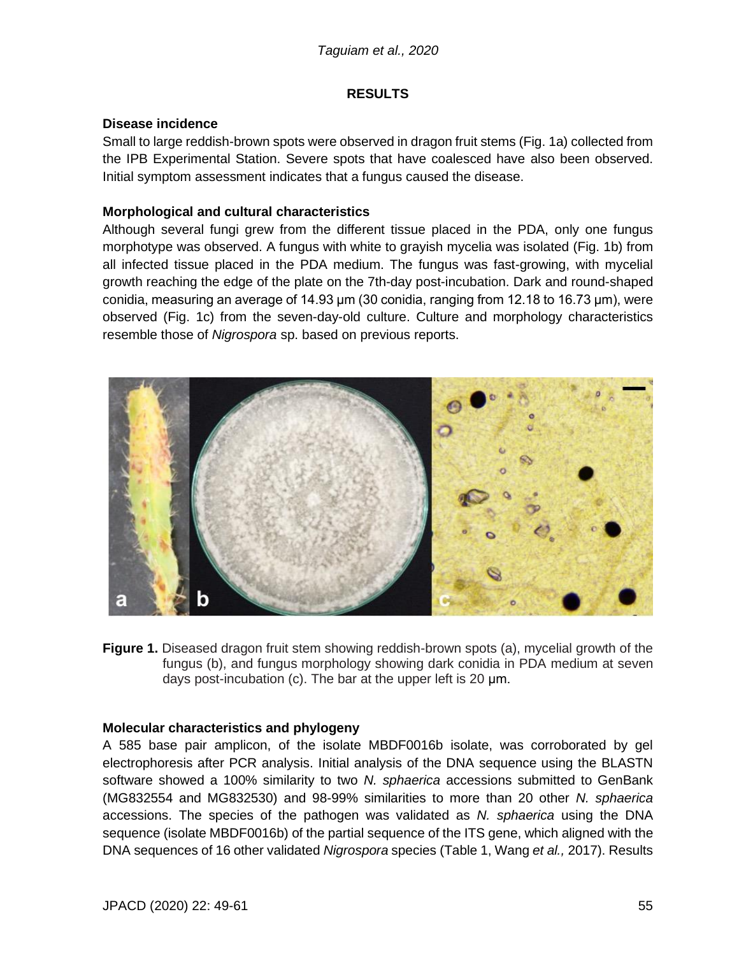#### **RESULTS**

#### **Disease incidence**

Small to large reddish-brown spots were observed in dragon fruit stems (Fig. 1a) collected from the IPB Experimental Station. Severe spots that have coalesced have also been observed. Initial symptom assessment indicates that a fungus caused the disease.

## **Morphological and cultural characteristics**

Although several fungi grew from the different tissue placed in the PDA, only one fungus morphotype was observed. A fungus with white to grayish mycelia was isolated (Fig. 1b) from all infected tissue placed in the PDA medium. The fungus was fast-growing, with mycelial growth reaching the edge of the plate on the 7th-day post-incubation. Dark and round-shaped conidia, measuring an average of 14.93 μm (30 conidia, ranging from 12.18 to 16.73 μm), were observed (Fig. 1c) from the seven-day-old culture. Culture and morphology characteristics resemble those of *Nigrospora* sp. based on previous reports.



**Figure 1.** Diseased dragon fruit stem showing reddish-brown spots (a), mycelial growth of the fungus (b), and fungus morphology showing dark conidia in PDA medium at seven days post-incubation (c). The bar at the upper left is 20 μm.

#### **Molecular characteristics and phylogeny**

A 585 base pair amplicon, of the isolate MBDF0016b isolate, was corroborated by gel electrophoresis after PCR analysis. Initial analysis of the DNA sequence using the BLASTN software showed a 100% similarity to two *N. sphaerica* accessions submitted to GenBank (MG832554 and MG832530) and 98-99% similarities to more than 20 other *N. sphaerica*  accessions. The species of the pathogen was validated as *N. sphaerica* using the DNA sequence (isolate MBDF0016b) of the partial sequence of the ITS gene, which aligned with the DNA sequences of 16 other validated *Nigrospora* species (Table 1, Wang *et al.,* 2017). Results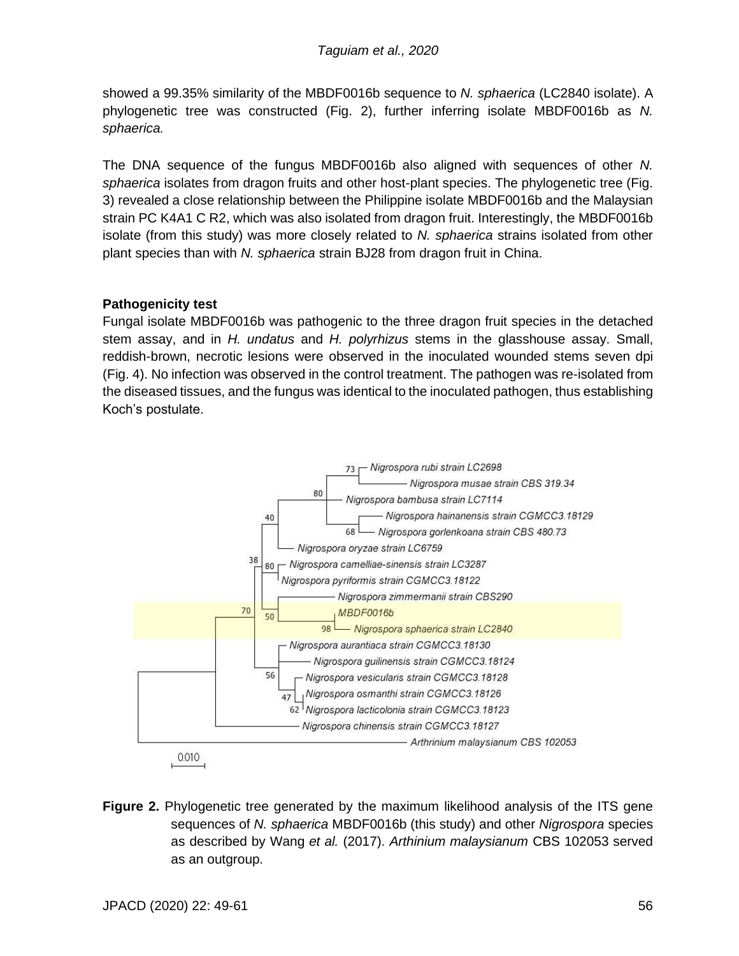showed a 99.35% similarity of the MBDF0016b sequence to *N. sphaerica* (LC2840 isolate). A phylogenetic tree was constructed (Fig. 2), further inferring isolate MBDF0016b as *N. sphaerica.*

The DNA sequence of the fungus MBDF0016b also aligned with sequences of other *N. sphaerica* isolates from dragon fruits and other host-plant species. The phylogenetic tree (Fig. 3) revealed a close relationship between the Philippine isolate MBDF0016b and the Malaysian strain PC K4A1 C R2, which was also isolated from dragon fruit. Interestingly, the MBDF0016b isolate (from this study) was more closely related to *N. sphaerica* strains isolated from other plant species than with *N. sphaerica* strain BJ28 from dragon fruit in China.

## **Pathogenicity test**

Fungal isolate MBDF0016b was pathogenic to the three dragon fruit species in the detached stem assay, and in *H. undatus* and *H. polyrhizus* stems in the glasshouse assay. Small, reddish-brown, necrotic lesions were observed in the inoculated wounded stems seven dpi (Fig. 4). No infection was observed in the control treatment. The pathogen was re-isolated from the diseased tissues, and the fungus was identical to the inoculated pathogen, thus establishing Koch's postulate.



**Figure 2.** Phylogenetic tree generated by the maximum likelihood analysis of the ITS gene sequences of *N. sphaerica* MBDF0016b (this study) and other *Nigrospora* species as described by Wang *et al.* (2017). *Arthinium malaysianum* CBS 102053 served as an outgroup.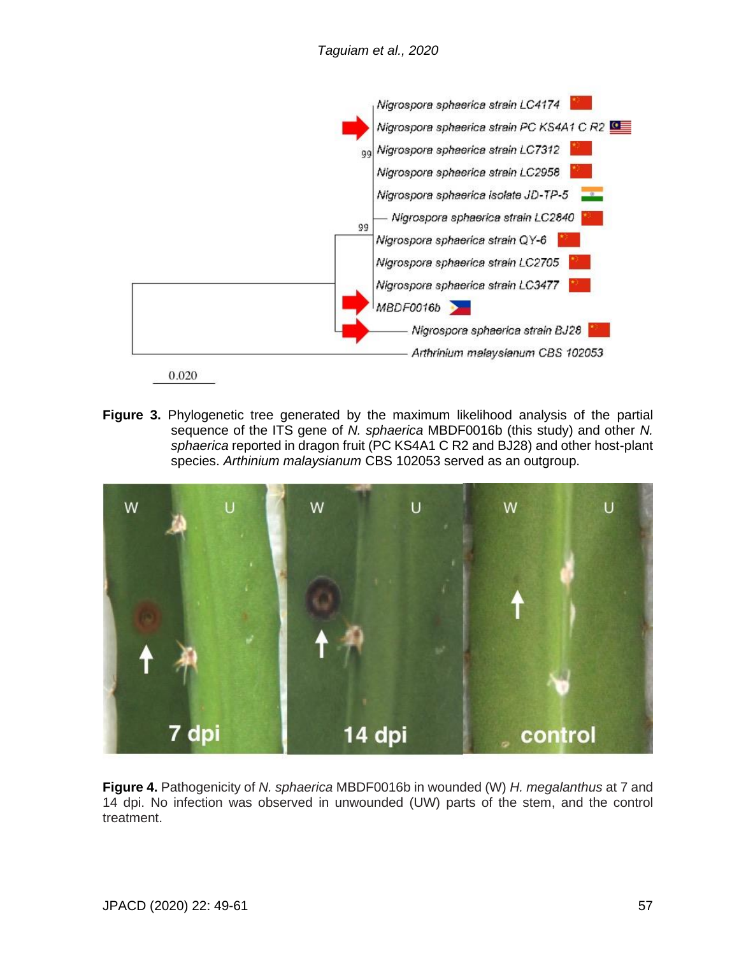

0.020

**Figure 3.** Phylogenetic tree generated by the maximum likelihood analysis of the partial sequence of the ITS gene of *N. sphaerica* MBDF0016b (this study) and other *N. sphaerica* reported in dragon fruit (PC KS4A1 C R2 and BJ28) and other host-plant species. *Arthinium malaysianum* CBS 102053 served as an outgroup.



**Figure 4.** Pathogenicity of *N. sphaerica* MBDF0016b in wounded (W) *H. megalanthus* at 7 and 14 dpi. No infection was observed in unwounded (UW) parts of the stem, and the control treatment.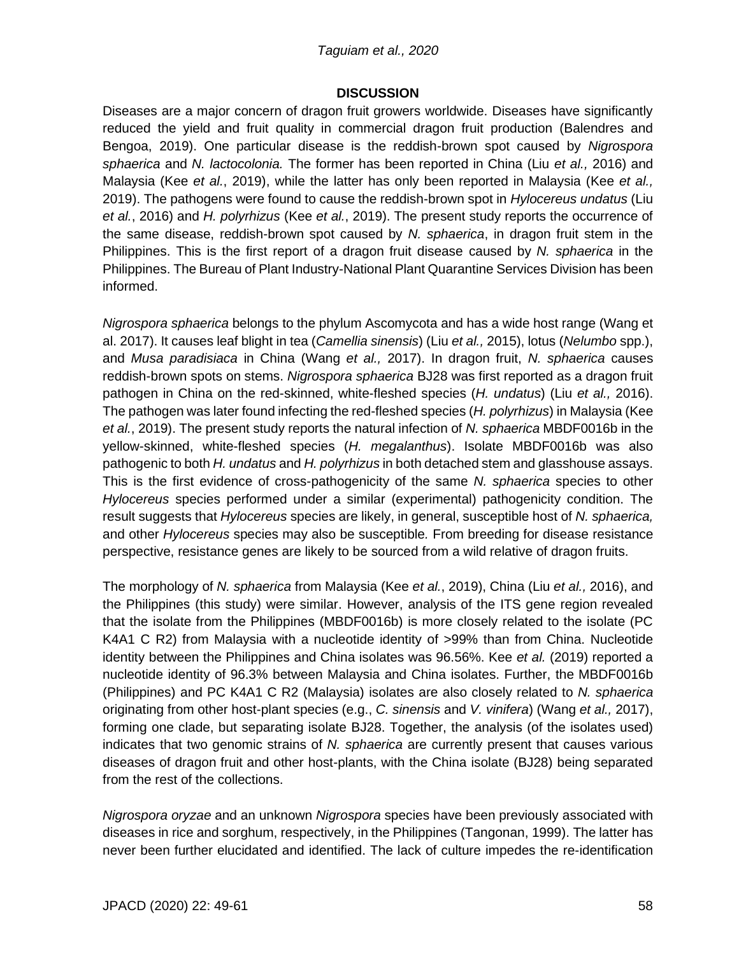#### *Taguiam et al., 2020*

#### **DISCUSSION**

Diseases are a major concern of dragon fruit growers worldwide. Diseases have significantly reduced the yield and fruit quality in commercial dragon fruit production (Balendres and Bengoa, 2019). One particular disease is the reddish-brown spot caused by *Nigrospora sphaerica* and *N. lactocolonia.* The former has been reported in China (Liu *et al.,* 2016) and Malaysia (Kee *et al.*, 2019), while the latter has only been reported in Malaysia (Kee *et al.,* 2019). The pathogens were found to cause the reddish-brown spot in *Hylocereus undatus* (Liu *et al.*, 2016) and *H. polyrhizus* (Kee *et al.*, 2019). The present study reports the occurrence of the same disease, reddish-brown spot caused by *N. sphaerica*, in dragon fruit stem in the Philippines. This is the first report of a dragon fruit disease caused by *N. sphaerica* in the Philippines. The Bureau of Plant Industry-National Plant Quarantine Services Division has been informed.

*Nigrospora sphaerica* belongs to the phylum Ascomycota and has a wide host range (Wang et al. 2017). It causes leaf blight in tea (*Camellia sinensis*) (Liu *et al.,* 2015), lotus (*Nelumbo* spp.), and *Musa paradisiaca* in China (Wang *et al.,* 2017). In dragon fruit, *N. sphaerica* causes reddish-brown spots on stems. *Nigrospora sphaerica* BJ28 was first reported as a dragon fruit pathogen in China on the red-skinned, white-fleshed species (*H. undatus*) (Liu *et al.,* 2016). The pathogen was later found infecting the red-fleshed species (*H. polyrhizus*) in Malaysia (Kee *et al.*, 2019). The present study reports the natural infection of *N. sphaerica* MBDF0016b in the yellow-skinned, white-fleshed species (*H. megalanthus*). Isolate MBDF0016b was also pathogenic to both *H. undatus* and *H. polyrhizus* in both detached stem and glasshouse assays. This is the first evidence of cross-pathogenicity of the same *N. sphaerica* species to other *Hylocereus* species performed under a similar (experimental) pathogenicity condition. The result suggests that *Hylocereus* species are likely, in general, susceptible host of *N. sphaerica,* and other *Hylocereus* species may also be susceptible*.* From breeding for disease resistance perspective, resistance genes are likely to be sourced from a wild relative of dragon fruits.

The morphology of *N. sphaerica* from Malaysia (Kee *et al.*, 2019), China (Liu *et al.,* 2016), and the Philippines (this study) were similar. However, analysis of the ITS gene region revealed that the isolate from the Philippines (MBDF0016b) is more closely related to the isolate (PC K4A1 C R2) from Malaysia with a nucleotide identity of >99% than from China. Nucleotide identity between the Philippines and China isolates was 96.56%. Kee *et al.* (2019) reported a nucleotide identity of 96.3% between Malaysia and China isolates. Further, the MBDF0016b (Philippines) and PC K4A1 C R2 (Malaysia) isolates are also closely related to *N. sphaerica* originating from other host-plant species (e.g., *C. sinensis* and *V. vinifera*) (Wang *et al.,* 2017), forming one clade, but separating isolate BJ28. Together, the analysis (of the isolates used) indicates that two genomic strains of *N. sphaerica* are currently present that causes various diseases of dragon fruit and other host-plants, with the China isolate (BJ28) being separated from the rest of the collections.

*Nigrospora oryzae* and an unknown *Nigrospora* species have been previously associated with diseases in rice and sorghum, respectively, in the Philippines (Tangonan, 1999). The latter has never been further elucidated and identified. The lack of culture impedes the re-identification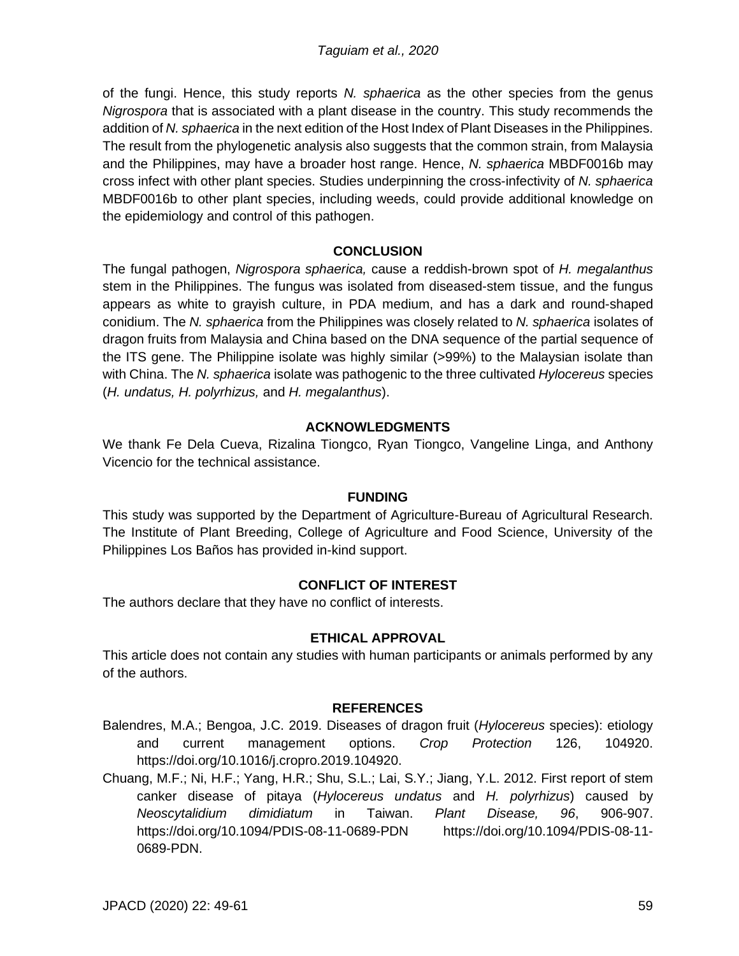of the fungi. Hence, this study reports *N. sphaerica* as the other species from the genus *Nigrospora* that is associated with a plant disease in the country. This study recommends the addition of *N. sphaerica* in the next edition of the Host Index of Plant Diseases in the Philippines. The result from the phylogenetic analysis also suggests that the common strain, from Malaysia and the Philippines, may have a broader host range. Hence, *N. sphaerica* MBDF0016b may cross infect with other plant species. Studies underpinning the cross-infectivity of *N. sphaerica*  MBDF0016b to other plant species, including weeds, could provide additional knowledge on the epidemiology and control of this pathogen.

## **CONCLUSION**

The fungal pathogen, *Nigrospora sphaerica,* cause a reddish-brown spot of *H. megalanthus* stem in the Philippines. The fungus was isolated from diseased-stem tissue, and the fungus appears as white to grayish culture, in PDA medium, and has a dark and round-shaped conidium. The *N. sphaerica* from the Philippines was closely related to *N. sphaerica* isolates of dragon fruits from Malaysia and China based on the DNA sequence of the partial sequence of the ITS gene. The Philippine isolate was highly similar (>99%) to the Malaysian isolate than with China. The *N. sphaerica* isolate was pathogenic to the three cultivated *Hylocereus* species (*H. undatus, H. polyrhizus,* and *H. megalanthus*).

## **ACKNOWLEDGMENTS**

We thank Fe Dela Cueva, Rizalina Tiongco, Ryan Tiongco, Vangeline Linga, and Anthony Vicencio for the technical assistance.

#### **FUNDING**

This study was supported by the Department of Agriculture-Bureau of Agricultural Research. The Institute of Plant Breeding, College of Agriculture and Food Science, University of the Philippines Los Baños has provided in-kind support.

# **CONFLICT OF INTEREST**

The authors declare that they have no conflict of interests.

#### **ETHICAL APPROVAL**

This article does not contain any studies with human participants or animals performed by any of the authors.

#### **REFERENCES**

- Balendres, M.A.; Bengoa, J.C. 2019. Diseases of dragon fruit (*Hylocereus* species): etiology and current management options. *Crop Protection* 126, 104920. https://doi.org/10.1016/j.cropro.2019.104920.
- Chuang, M.F.; Ni, H.F.; Yang, H.R.; Shu, S.L.; Lai, S.Y.; Jiang, Y.L. 2012. First report of stem canker disease of pitaya (*Hylocereus undatus* and *H. polyrhizus*) caused by *Neoscytalidium dimidiatum* in Taiwan. *Plant Disease, 96*, 906-907. https://doi.org/10.1094/PDIS-08-11-0689-PDN https://doi.org/10.1094/PDIS-08-11- 0689-PDN.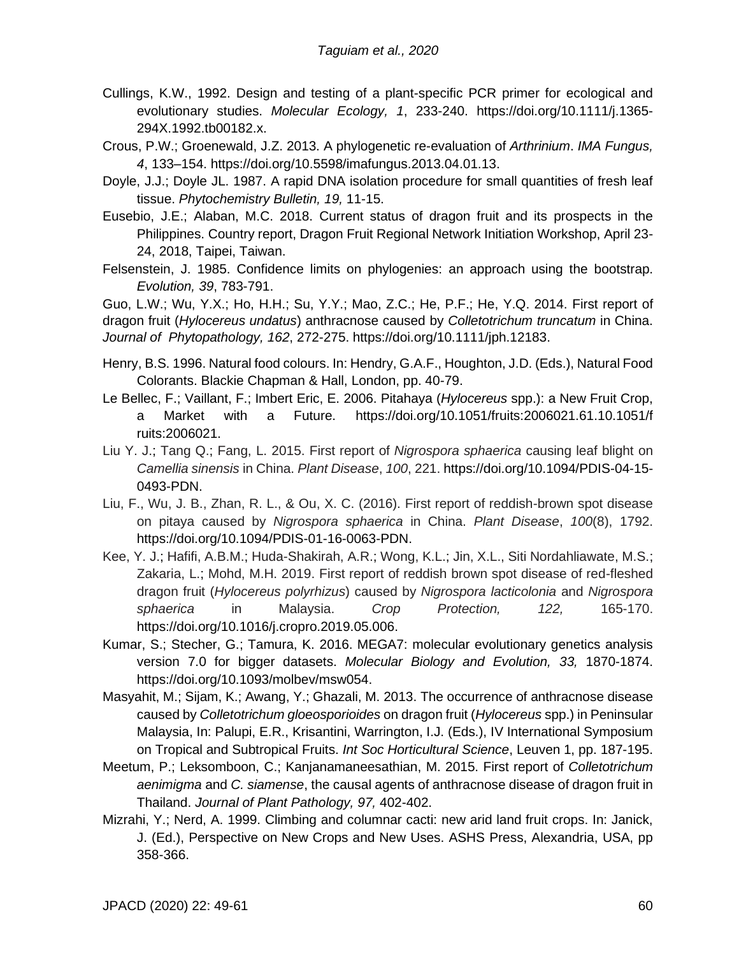- Cullings, K.W., 1992. Design and testing of a plant-specific PCR primer for ecological and evolutionary studies. *Molecular Ecology, 1*, 233-240. https://doi.org/10.1111/j.1365- 294X.1992.tb00182.x.
- Crous, P.W.; Groenewald, J.Z. 2013. A phylogenetic re-evaluation of *Arthrinium*. *IMA Fungus, 4*, 133–154. https://doi.org/10.5598/imafungus.2013.04.01.13.
- Doyle, J.J.; Doyle JL. 1987. A rapid DNA isolation procedure for small quantities of fresh leaf tissue. *Phytochemistry Bulletin, 19,* 11-15.
- Eusebio, J.E.; Alaban, M.C. 2018. Current status of dragon fruit and its prospects in the Philippines. Country report, Dragon Fruit Regional Network Initiation Workshop, April 23- 24, 2018, Taipei, Taiwan.
- Felsenstein, J. 1985. Confidence limits on phylogenies: an approach using the bootstrap. *Evolution, 39*, 783-791.

Guo, L.W.; Wu, Y.X.; Ho, H.H.; Su, Y.Y.; Mao, Z.C.; He, P.F.; He, Y.Q. 2014. First report of dragon fruit (*Hylocereus undatus*) anthracnose caused by *Colletotrichum truncatum* in China. *Journal of Phytopathology, 162*, 272-275. https://doi.org/10.1111/jph.12183.

- Henry, B.S. 1996. Natural food colours. In: Hendry, G.A.F., Houghton, J.D. (Eds.), Natural Food Colorants. Blackie Chapman & Hall, London, pp. 40-79.
- Le Bellec, F.; Vaillant, F.; Imbert Eric, E. 2006. Pitahaya (*Hylocereus* spp.): a New Fruit Crop, a Market with a Future. https://doi.org/10.1051/fruits:2006021.61.10.1051/f ruits:2006021.
- Liu Y. J.; Tang Q.; Fang, L. 2015. First report of *Nigrospora sphaerica* causing leaf blight on *Camellia sinensis* in China. *Plant Disease*, *100*, 221. https://doi.org/10.1094/PDIS-04-15- 0493-PDN.
- Liu, F., Wu, J. B., Zhan, R. L., & Ou, X. C. (2016). First report of reddish-brown spot disease on pitaya caused by *Nigrospora sphaerica* in China. *Plant Disease*, *100*(8), 1792. https://doi.org/10.1094/PDIS-01-16-0063-PDN.
- Kee, Y. J.; Hafifi, A.B.M.; Huda-Shakirah, A.R.; Wong, K.L.; Jin, X.L., Siti Nordahliawate, M.S.; Zakaria, L.; Mohd, M.H. 2019. First report of reddish brown spot disease of red-fleshed dragon fruit (*Hylocereus polyrhizus*) caused by *Nigrospora lacticolonia* and *Nigrospora sphaerica* in Malaysia. *Crop Protection, 122,* 165-170. https://doi.org/10.1016/j.cropro.2019.05.006.
- Kumar, S.; Stecher, G.; Tamura, K. 2016. MEGA7: molecular evolutionary genetics analysis version 7.0 for bigger datasets. *Molecular Biology and Evolution, 33,* 1870-1874. https://doi.org/10.1093/molbev/msw054.
- Masyahit, M.; Sijam, K.; Awang, Y.; Ghazali, M. 2013. The occurrence of anthracnose disease caused by *Colletotrichum gloeosporioides* on dragon fruit (*Hylocereus* spp.) in Peninsular Malaysia, In: Palupi, E.R., Krisantini, Warrington, I.J. (Eds.), IV International Symposium on Tropical and Subtropical Fruits. *Int Soc Horticultural Science*, Leuven 1, pp. 187-195.
- Meetum, P.; Leksomboon, C.; Kanjanamaneesathian, M. 2015. First report of *Colletotrichum aenimigma* and *C. siamense*, the causal agents of anthracnose disease of dragon fruit in Thailand. *Journal of Plant Pathology, 97,* 402-402.
- Mizrahi, Y.; Nerd, A. 1999. Climbing and columnar cacti: new arid land fruit crops. In: Janick, J. (Ed.), Perspective on New Crops and New Uses. ASHS Press, Alexandria, USA, pp 358-366.